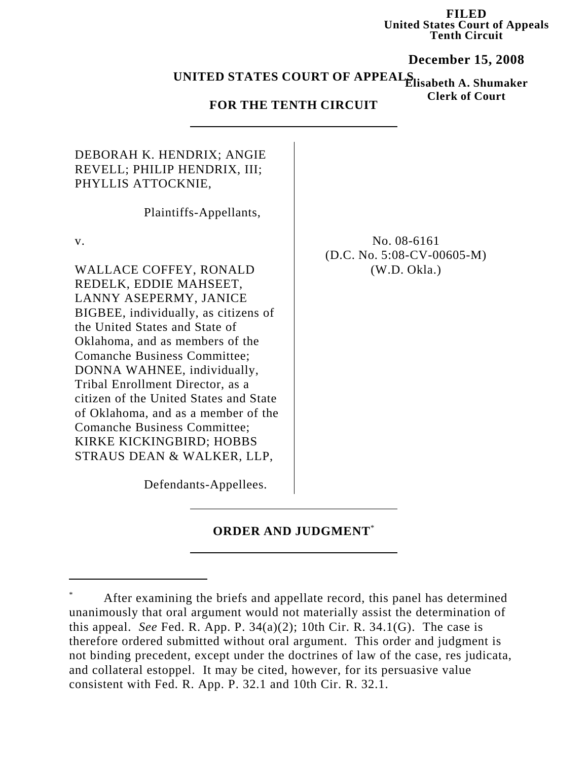**FILED United States Court of Appeals Tenth Circuit**

**December 15, 2008**

**Elisabeth A. Shumaker UNITED STATES COURT OF APPEALS**

**Clerk of Court**

## **FOR THE TENTH CIRCUIT**

## DEBORAH K. HENDRIX; ANGIE REVELL; PHILIP HENDRIX, III; PHYLLIS ATTOCKNIE,

Plaintiffs-Appellants,

v.

WALLACE COFFEY, RONALD REDELK, EDDIE MAHSEET, LANNY ASEPERMY, JANICE BIGBEE, individually, as citizens of the United States and State of Oklahoma, and as members of the Comanche Business Committee; DONNA WAHNEE, individually, Tribal Enrollment Director, as a citizen of the United States and State of Oklahoma, and as a member of the Comanche Business Committee; KIRKE KICKINGBIRD; HOBBS STRAUS DEAN & WALKER, LLP,

No. 08-6161 (D.C. No. 5:08-CV-00605-M) (W.D. Okla.)

Defendants-Appellees.

## **ORDER AND JUDGMENT**\*

After examining the briefs and appellate record, this panel has determined unanimously that oral argument would not materially assist the determination of this appeal. *See* Fed. R. App. P.  $34(a)(2)$ ; 10th Cir. R.  $34.1(G)$ . The case is therefore ordered submitted without oral argument. This order and judgment is not binding precedent, except under the doctrines of law of the case, res judicata, and collateral estoppel. It may be cited, however, for its persuasive value consistent with Fed. R. App. P. 32.1 and 10th Cir. R. 32.1.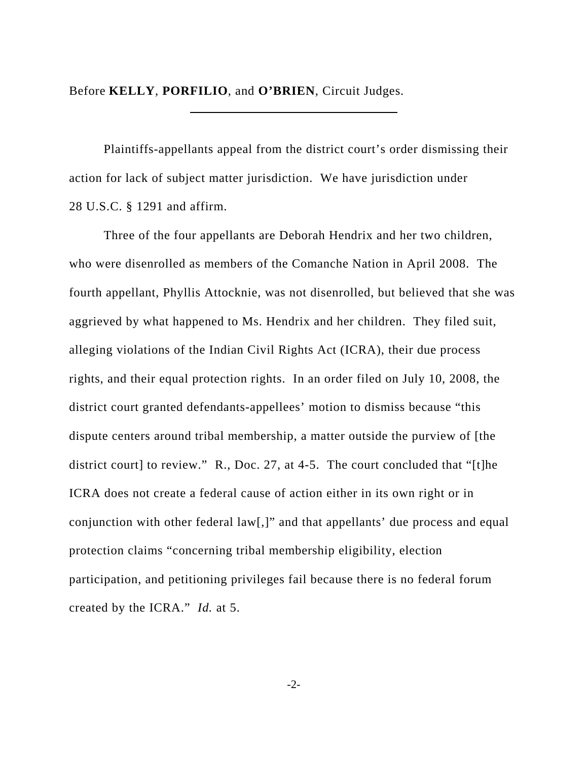Before **KELLY**, **PORFILIO**, and **O'BRIEN**, Circuit Judges.

Plaintiffs-appellants appeal from the district court's order dismissing their action for lack of subject matter jurisdiction. We have jurisdiction under 28 U.S.C. § 1291 and affirm.

Three of the four appellants are Deborah Hendrix and her two children, who were disenrolled as members of the Comanche Nation in April 2008. The fourth appellant, Phyllis Attocknie, was not disenrolled, but believed that she was aggrieved by what happened to Ms. Hendrix and her children. They filed suit, alleging violations of the Indian Civil Rights Act (ICRA), their due process rights, and their equal protection rights. In an order filed on July 10, 2008, the district court granted defendants-appellees' motion to dismiss because "this dispute centers around tribal membership, a matter outside the purview of [the district court] to review." R., Doc. 27, at 4-5. The court concluded that "[t]he ICRA does not create a federal cause of action either in its own right or in conjunction with other federal law[,]" and that appellants' due process and equal protection claims "concerning tribal membership eligibility, election participation, and petitioning privileges fail because there is no federal forum created by the ICRA." *Id.* at 5.

-2-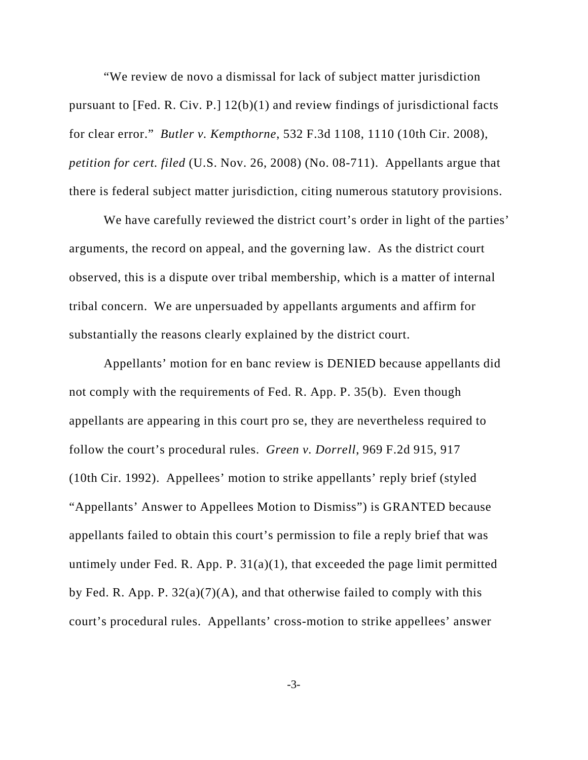"We review de novo a dismissal for lack of subject matter jurisdiction pursuant to [Fed. R. Civ. P.] 12(b)(1) and review findings of jurisdictional facts for clear error." *Butler v. Kempthorne*, 532 F.3d 1108, 1110 (10th Cir. 2008), *petition for cert. filed* (U.S. Nov. 26, 2008) (No. 08-711). Appellants argue that there is federal subject matter jurisdiction, citing numerous statutory provisions.

We have carefully reviewed the district court's order in light of the parties' arguments, the record on appeal, and the governing law. As the district court observed, this is a dispute over tribal membership, which is a matter of internal tribal concern. We are unpersuaded by appellants arguments and affirm for substantially the reasons clearly explained by the district court.

Appellants' motion for en banc review is DENIED because appellants did not comply with the requirements of Fed. R. App. P. 35(b). Even though appellants are appearing in this court pro se, they are nevertheless required to follow the court's procedural rules. *Green v. Dorrell*, 969 F.2d 915, 917 (10th Cir. 1992). Appellees' motion to strike appellants' reply brief (styled "Appellants' Answer to Appellees Motion to Dismiss") is GRANTED because appellants failed to obtain this court's permission to file a reply brief that was untimely under Fed. R. App. P.  $31(a)(1)$ , that exceeded the page limit permitted by Fed. R. App. P.  $32(a)(7)(A)$ , and that otherwise failed to comply with this court's procedural rules. Appellants' cross-motion to strike appellees' answer